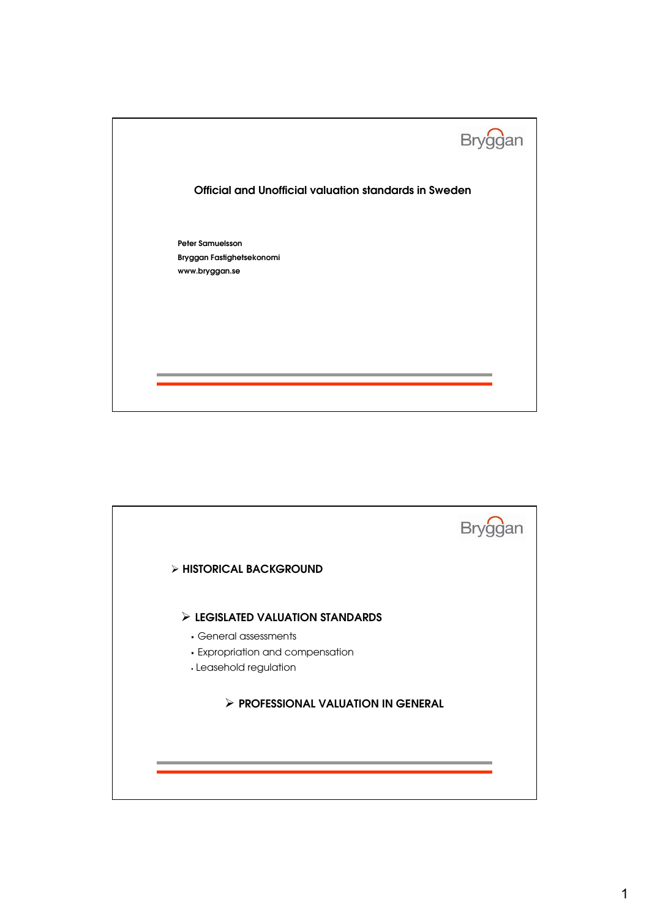

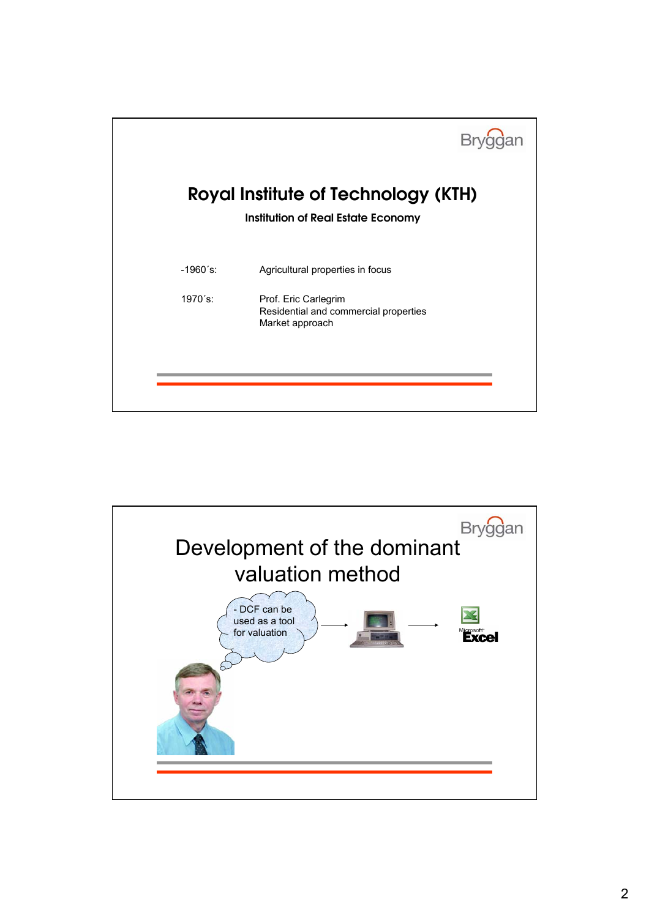

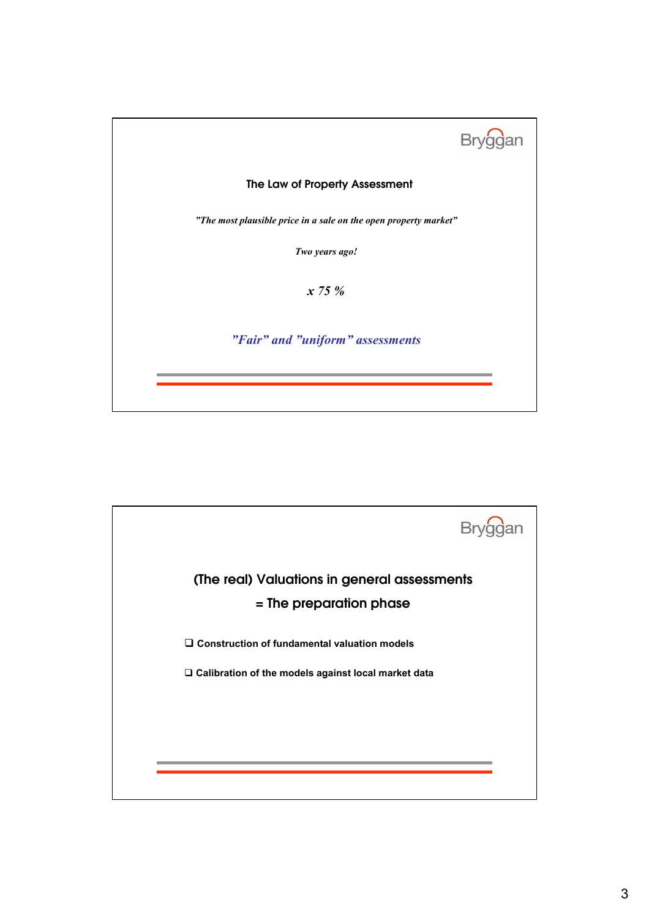

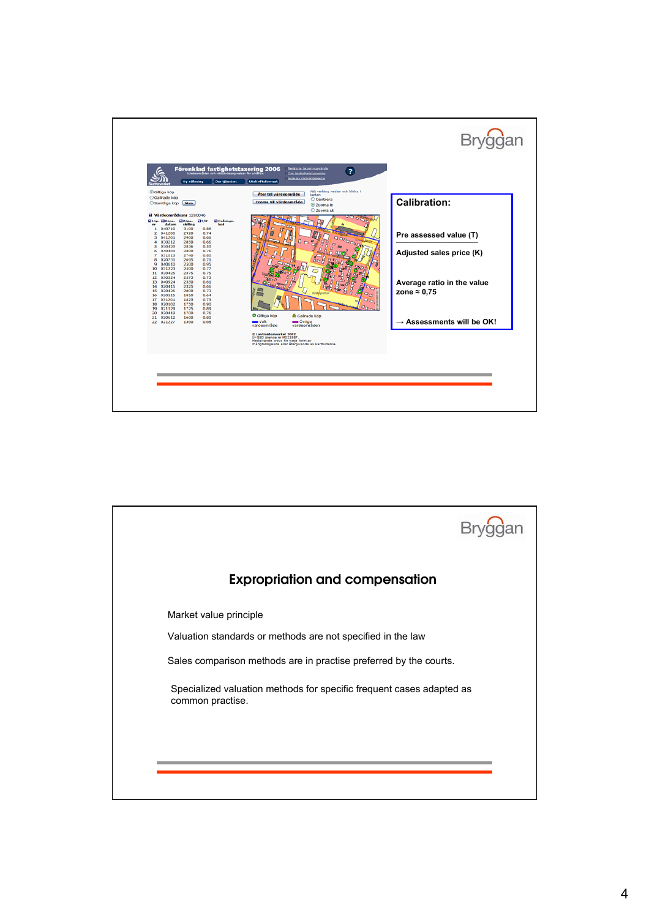

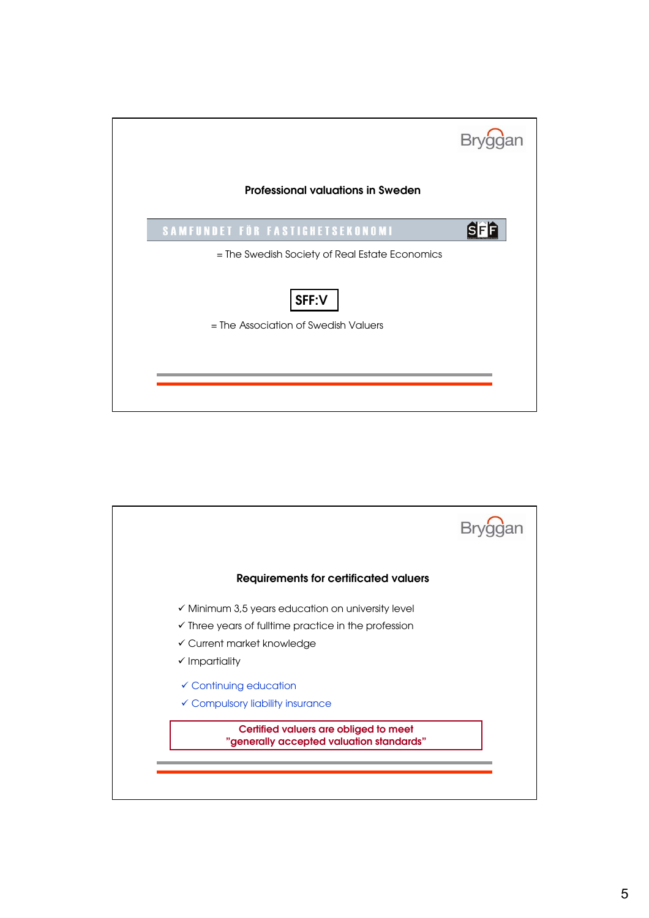

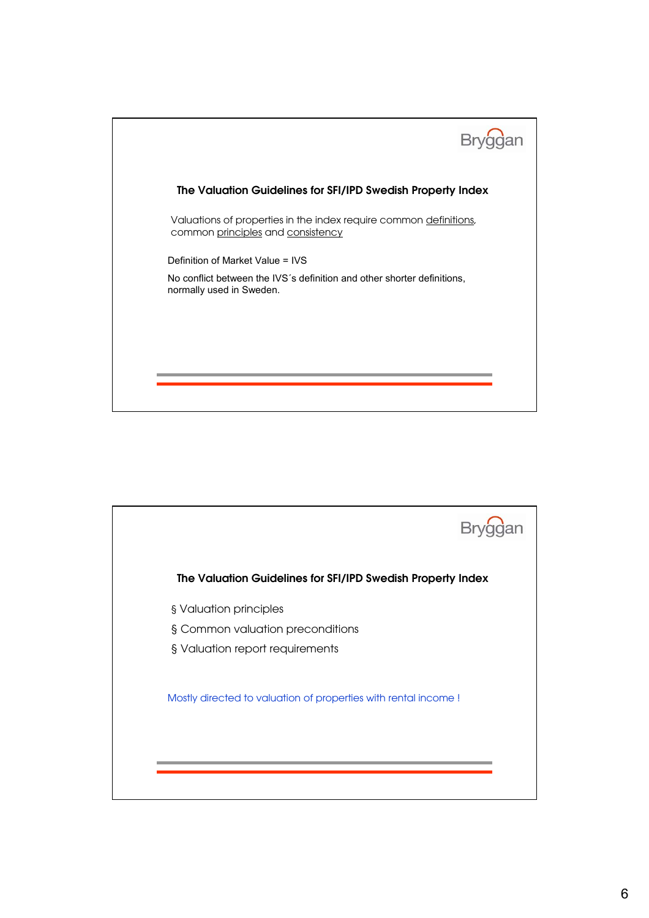